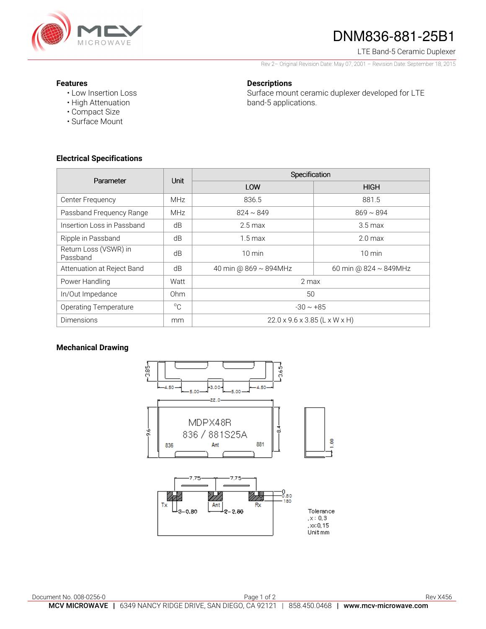

# DNM836-881-25B1

LTE Band-5 Ceramic Duplexer

Rev 2– Original Revision Date: May 07, 2001 – Revision Date: September 18, 2015

#### **Features**

• Low Insertion Loss • High Attenuation

**Descriptions** 

Surface mount ceramic duplexer developed for LTE band-5 applications.

• Surface Mount

• Compact Size

## **Electrical Specifications**

| Parameter                         | <b>Unit</b>     | Specification                             |                             |
|-----------------------------------|-----------------|-------------------------------------------|-----------------------------|
|                                   |                 | LOW                                       | <b>HIGH</b>                 |
| Center Frequency                  | <b>MHz</b>      | 836.5                                     | 881.5                       |
| Passband Frequency Range          | <b>MHz</b>      | $824 \sim 849$                            | $869 \sim 894$              |
| Insertion Loss in Passband        | dB              | $2.5 \,\mathrm{max}$                      | $3.5 \,\mathrm{max}$        |
| Ripple in Passband                | dB              | $1.5 \,\mathrm{max}$                      | $2.0 \text{ max}$           |
| Return Loss (VSWR) in<br>Passband | dB              | $10 \text{ min}$                          | $10 \text{ min}$            |
| Attenuation at Reject Band        | dB              | 40 min @ 869 ~ 894MHz                     | 60 min @ $824 \sim 849$ MHz |
| Power Handling                    | Watt            | 2 max                                     |                             |
| In/Out Impedance                  | 0 <sub>hm</sub> | 50                                        |                             |
| <b>Operating Temperature</b>      | $^{\circ}$ C    | $-30 \sim +85$                            |                             |
| <b>Dimensions</b>                 | mm              | $22.0 \times 9.6 \times 3.85$ (L x W x H) |                             |

## **Mechanical Drawing**